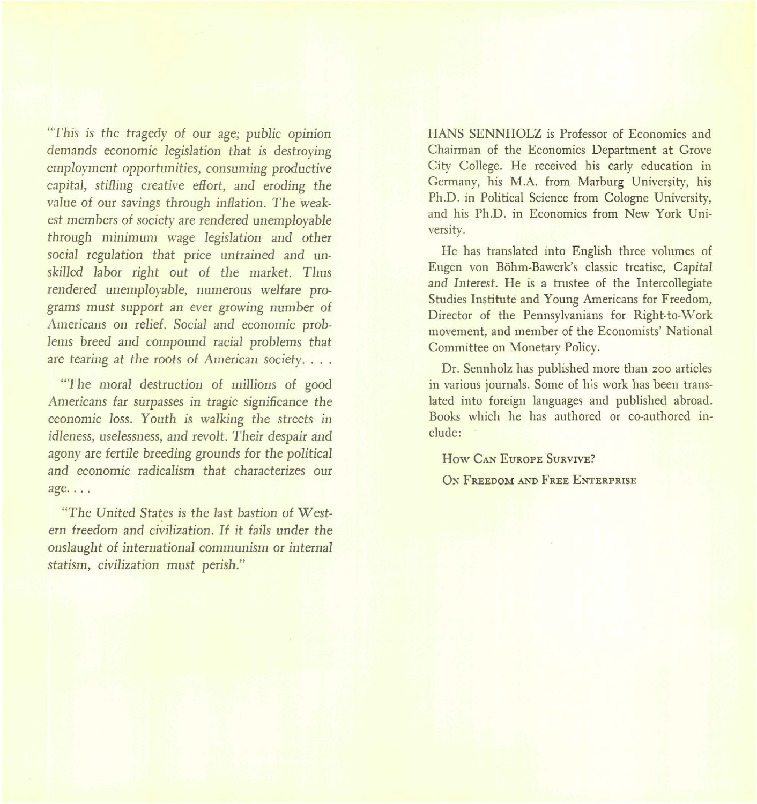"This is the tragedy of our age; public opinion demands economic *legislation* that is destroying *employment* opportunities, consuming productive *capital, stifling* creative effort, and eroding *the value* of our *savings* through *inflation. The weakest* members of *society* are rendered *unemployable* through minimum wage *legislation* and other *social* regulation that price untrained and un*skilled* labor right out of *the* market. Thus rendered *unemployable,* numerous welfare programs must support an ever growing number of Americans on relief. Social and economic prob*lems* breed and compound racial problems that are tearing at *the* roots of American *society.* ...

*"The* moral destruction of *millions* of good Americans far surpasses in tragic significance *the* economic *loss.* Youth is *walking the* streets in *idleness, uselessness,* and *revolt.* Their despair and agony are fertile breeding grounds for *the political* and economic radicalism that characterizes our age....

*"The United States* is *the last bastion* of *West*ern freedom and *civilization.* It it *fails* under *the onslaught* of international communism or internal statism, *civilization* must perish."

HANS SENNHOLZ is Professor of Economics and Chairman of the Economics Department at Grove City College. He received his early education in Germany, his M.A. from Marburg University, his Ph.D. in Political Science from Cologne University, and his Ph.D. in Economics from New York University.

He has translated into English three volumes of Eugen von Bohm-Bawerk's classic treatise, Capital and Interest. He is a trustee of the Intercollegiate Studies Institute and Young Americans for Freedom, Director of the Pennsylvanians for Right-to-Work movement, and member of the Economists' National Committee on Monetary Policy.

Dr. Sennholz has published more than 200 articles in various journals. Some of his work has been translated into foreign languages and published abroad. Books which he has authored or co-authored include:

How CAN EUROPE SURVIVE?

ON FREEDOM AND FREE ENTERPRISE